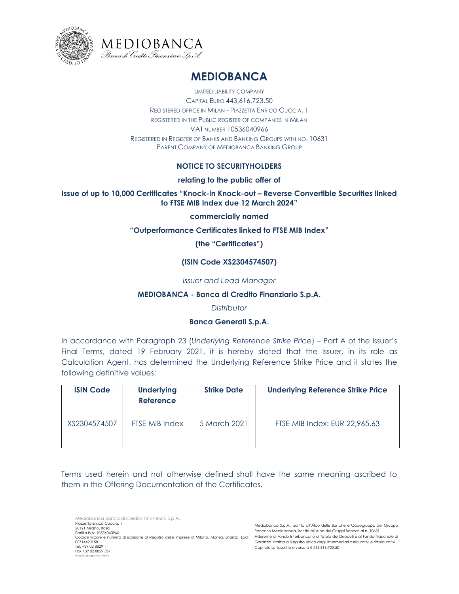



# **MEDIOBANCA**

LIMITED LIABILITY COMPANY CAPITAL EURO 443,616,723.50 REGISTERED OFFICE IN MILAN - PIAZZETTA ENRICO CUCCIA, 1 REGISTERED IN THE PUBLIC REGISTER OF COMPANIES IN MILAN VAT NUMBER 10536040966 REGISTERED IN REGISTER OF BANKS AND BANKING GROUPS WITH NO. 10631 PARENT COMPANY OF MEDIOBANCA BANKING GROUP

## **NOTICE TO SECURITYHOLDERS**

## **relating to the public offer of**

## **Issue of up to 10,000 Certificates "Knock-in Knock-out – Reverse Convertible Securities linked to FTSE MIB Index due 12 March 2024"**

#### **commercially named**

#### **"Outperformance Certificates linked to FTSE MIB Index"**

## **(the "Certificates")**

## **(ISIN Code XS2304574507)**

#### *Issuer and Lead Manager*

#### **MEDIOBANCA - Banca di Credito Finanziario S.p.A.**

#### *Distributor*

## **Banca Generali S.p.A.**

In accordance with Paragraph 23 (*Underlying Reference Strike Price*) – Part A of the Issuer's Final Terms, dated 19 February 2021, it is hereby stated that the Issuer, in its role as Calculation Agent, has determined the Underlying Reference Strike Price and it states the following definitive values:

| <b>ISIN Code</b> | <b>Underlying</b><br><b>Reference</b> | <b>Strike Date</b> | <b>Underlying Reference Strike Price</b> |
|------------------|---------------------------------------|--------------------|------------------------------------------|
| XS2304574507     | FTSE MIB Index                        | 5 March 2021       | FTSE MIB Index: EUR 22,965.63            |

Terms used herein and not otherwise defined shall have the same meaning ascribed to them in the Offering Documentation of the Certificates.